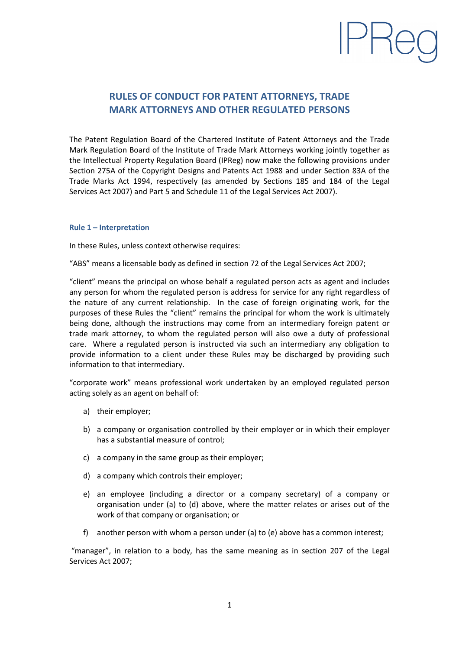# **RULES OF CONDUCT FOR PATENT ATTORNEYS, TRADE MARK ATTORNEYS AND OTHER REGULATED PERSONS**

PRec

The Patent Regulation Board of the Chartered Institute of Patent Attorneys and the Trade Mark Regulation Board of the Institute of Trade Mark Attorneys working jointly together as the Intellectual Property Regulation Board (IPReg) now make the following provisions under Section 275A of the Copyright Designs and Patents Act 1988 and under Section 83A of the Trade Marks Act 1994, respectively (as amended by Sections 185 and 184 of the Legal Services Act 2007) and Part 5 and Schedule 11 of the Legal Services Act 2007).

## **Rule 1 – Interpretation**

In these Rules, unless context otherwise requires:

"ABS" means a licensable body as defined in section 72 of the Legal Services Act 2007;

"client" means the principal on whose behalf a regulated person acts as agent and includes any person for whom the regulated person is address for service for any right regardless of the nature of any current relationship. In the case of foreign originating work, for the purposes of these Rules the "client" remains the principal for whom the work is ultimately being done, although the instructions may come from an intermediary foreign patent or trade mark attorney, to whom the regulated person will also owe a duty of professional care. Where a regulated person is instructed via such an intermediary any obligation to provide information to a client under these Rules may be discharged by providing such information to that intermediary.

"corporate work" means professional work undertaken by an employed regulated person acting solely as an agent on behalf of:

- a) their employer;
- b) a company or organisation controlled by their employer or in which their employer has a substantial measure of control;
- c) a company in the same group as their employer;
- d) a company which controls their employer;
- e) an employee (including a director or a company secretary) of a company or organisation under (a) to (d) above, where the matter relates or arises out of the work of that company or organisation; or
- f) another person with whom a person under (a) to (e) above has a common interest;

"manager", in relation to a body, has the same meaning as in section 207 of the Legal Services Act 2007;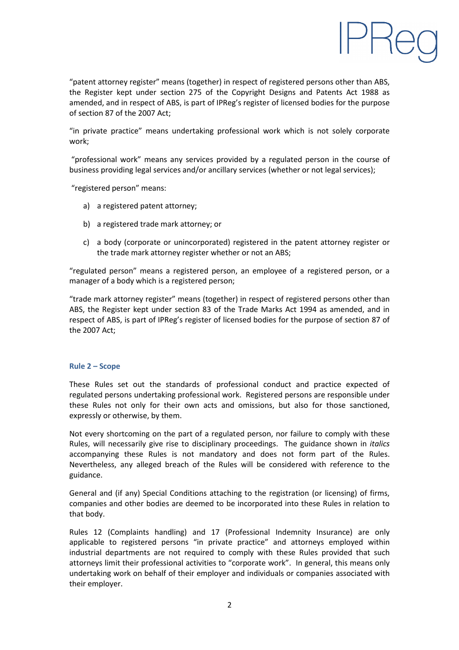

"patent attorney register" means (together) in respect of registered persons other than ABS, the Register kept under section 275 of the Copyright Designs and Patents Act 1988 as amended, and in respect of ABS, is part of IPReg's register of licensed bodies for the purpose of section 87 of the 2007 Act;

"in private practice" means undertaking professional work which is not solely corporate work;

"professional work" means any services provided by a regulated person in the course of business providing legal services and/or ancillary services (whether or not legal services);

"registered person" means:

- a) a registered patent attorney;
- b) a registered trade mark attorney; or
- c) a body (corporate or unincorporated) registered in the patent attorney register or the trade mark attorney register whether or not an ABS;

"regulated person" means a registered person, an employee of a registered person, or a manager of a body which is a registered person;

"trade mark attorney register" means (together) in respect of registered persons other than ABS, the Register kept under section 83 of the Trade Marks Act 1994 as amended, and in respect of ABS, is part of IPReg's register of licensed bodies for the purpose of section 87 of the 2007 Act;

#### **Rule 2 – Scope**

These Rules set out the standards of professional conduct and practice expected of regulated persons undertaking professional work. Registered persons are responsible under these Rules not only for their own acts and omissions, but also for those sanctioned, expressly or otherwise, by them.

Not every shortcoming on the part of a regulated person, nor failure to comply with these Rules, will necessarily give rise to disciplinary proceedings. The guidance shown in *italics* accompanying these Rules is not mandatory and does not form part of the Rules. Nevertheless, any alleged breach of the Rules will be considered with reference to the guidance.

General and (if any) Special Conditions attaching to the registration (or licensing) of firms, companies and other bodies are deemed to be incorporated into these Rules in relation to that body.

Rules 12 (Complaints handling) and 17 (Professional Indemnity Insurance) are only applicable to registered persons "in private practice" and attorneys employed within industrial departments are not required to comply with these Rules provided that such attorneys limit their professional activities to "corporate work". In general, this means only undertaking work on behalf of their employer and individuals or companies associated with their employer.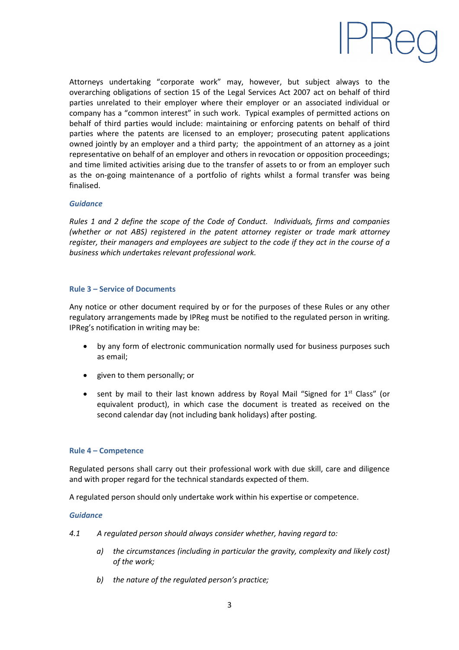

Attorneys undertaking "corporate work" may, however, but subject always to the overarching obligations of section 15 of the Legal Services Act 2007 act on behalf of third parties unrelated to their employer where their employer or an associated individual or company has a "common interest" in such work. Typical examples of permitted actions on behalf of third parties would include: maintaining or enforcing patents on behalf of third parties where the patents are licensed to an employer; prosecuting patent applications owned jointly by an employer and a third party; the appointment of an attorney as a joint representative on behalf of an employer and others in revocation or opposition proceedings; and time limited activities arising due to the transfer of assets to or from an employer such as the on-going maintenance of a portfolio of rights whilst a formal transfer was being finalised.

## *Guidance*

*Rules 1 and 2 define the scope of the Code of Conduct. Individuals, firms and companies (whether or not ABS) registered in the patent attorney register or trade mark attorney register, their managers and employees are subject to the code if they act in the course of a business which undertakes relevant professional work.*

#### **Rule 3 – Service of Documents**

Any notice or other document required by or for the purposes of these Rules or any other regulatory arrangements made by IPReg must be notified to the regulated person in writing. IPReg's notification in writing may be:

- by any form of electronic communication normally used for business purposes such as email;
- given to them personally; or
- sent by mail to their last known address by Royal Mail "Signed for  $1<sup>st</sup>$  Class" (or equivalent product), in which case the document is treated as received on the second calendar day (not including bank holidays) after posting.

## **Rule 4 – Competence**

Regulated persons shall carry out their professional work with due skill, care and diligence and with proper regard for the technical standards expected of them.

A regulated person should only undertake work within his expertise or competence.

#### *Guidance*

- *4.1 A regulated person should always consider whether, having regard to:*
	- *a) the circumstances (including in particular the gravity, complexity and likely cost) of the work;*
	- *b) the nature of the regulated person's practice;*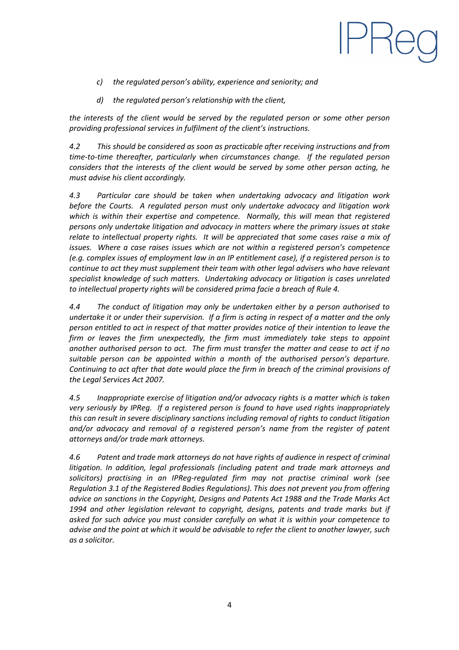- *c) the regulated person's ability, experience and seniority; and*
- *d) the regulated person's relationship with the client,*

*the interests of the client would be served by the regulated person or some other person providing professional services in fulfilment of the client's instructions.*

PRed

*4.2 This should be considered as soon as practicable after receiving instructions and from time-to-time thereafter, particularly when circumstances change. If the regulated person considers that the interests of the client would be served by some other person acting, he must advise his client accordingly.*

*4.3 Particular care should be taken when undertaking advocacy and litigation work before the Courts. A regulated person must only undertake advocacy and litigation work which is within their expertise and competence. Normally, this will mean that registered persons only undertake litigation and advocacy in matters where the primary issues at stake relate to intellectual property rights. It will be appreciated that some cases raise a mix of issues. Where a case raises issues which are not within a registered person's competence (e.g. complex issues of employment law in an IP entitlement case), if a registered person is to continue to act they must supplement their team with other legal advisers who have relevant specialist knowledge of such matters. Undertaking advocacy or litigation is cases unrelated to intellectual property rights will be considered prima facie a breach of Rule 4.*

*4.4 The conduct of litigation may only be undertaken either by a person authorised to undertake it or under their supervision. If a firm is acting in respect of a matter and the only person entitled to act in respect of that matter provides notice of their intention to leave the firm or leaves the firm unexpectedly, the firm must immediately take steps to appoint another authorised person to act. The firm must transfer the matter and cease to act if no suitable person can be appointed within a month of the authorised person's departure. Continuing to act after that date would place the firm in breach of the criminal provisions of the Legal Services Act 2007.*

*4.5 Inappropriate exercise of litigation and/or advocacy rights is a matter which is taken very seriously by IPReg. If a registered person is found to have used rights inappropriately this can result in severe disciplinary sanctions including removal of rights to conduct litigation and/or advocacy and removal of a registered person's name from the register of patent attorneys and/or trade mark attorneys.*

*4.6 Patent and trade mark attorneys do not have rights of audience in respect of criminal litigation. In addition, legal professionals (including patent and trade mark attorneys and solicitors) practising in an IPReg-regulated firm may not practise criminal work (see Regulation 3.1 of the Registered Bodies Regulations). This does not prevent you from offering advice on sanctions in the Copyright, Designs and Patents Act 1988 and the Trade Marks Act 1994 and other legislation relevant to copyright, designs, patents and trade marks but if asked for such advice you must consider carefully on what it is within your competence to advise and the point at which it would be advisable to refer the client to another lawyer, such as a solicitor.*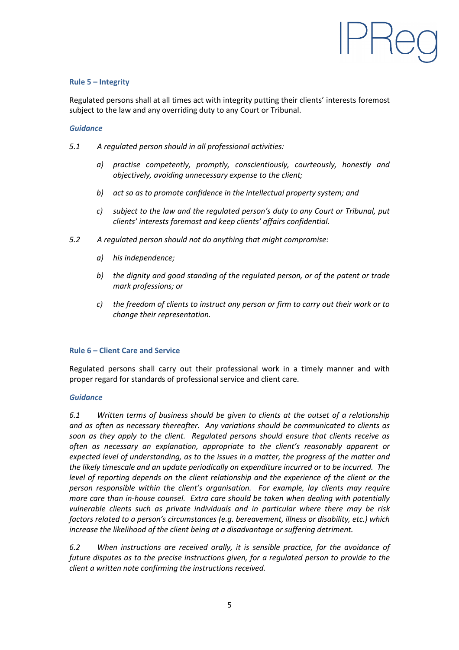

# **Rule 5 – Integrity**

Regulated persons shall at all times act with integrity putting their clients' interests foremost subject to the law and any overriding duty to any Court or Tribunal.

## *Guidance*

- *5.1 A regulated person should in all professional activities:*
	- *a) practise competently, promptly, conscientiously, courteously, honestly and objectively, avoiding unnecessary expense to the client;*
	- *b) act so as to promote confidence in the intellectual property system; and*
	- *c) subject to the law and the regulated person's duty to any Court or Tribunal, put clients' interests foremost and keep clients' affairs confidential.*
- *5.2 A regulated person should not do anything that might compromise:*
	- *a) his independence;*
	- *b) the dignity and good standing of the regulated person, or of the patent or trade mark professions; or*
	- *c) the freedom of clients to instruct any person or firm to carry out their work or to change their representation.*

#### **Rule 6 – Client Care and Service**

Regulated persons shall carry out their professional work in a timely manner and with proper regard for standards of professional service and client care.

## *Guidance*

*6.1 Written terms of business should be given to clients at the outset of a relationship and as often as necessary thereafter. Any variations should be communicated to clients as soon as they apply to the client. Regulated persons should ensure that clients receive as often as necessary an explanation, appropriate to the client's reasonably apparent or expected level of understanding, as to the issues in a matter, the progress of the matter and the likely timescale and an update periodically on expenditure incurred or to be incurred. The level of reporting depends on the client relationship and the experience of the client or the person responsible within the client's organisation. For example, lay clients may require more care than in-house counsel. Extra care should be taken when dealing with potentially vulnerable clients such as private individuals and in particular where there may be risk factors related to a person's circumstances (e.g. bereavement, illness or disability, etc.) which increase the likelihood of the client being at a disadvantage or suffering detriment.*

*6.2 When instructions are received orally, it is sensible practice, for the avoidance of future disputes as to the precise instructions given, for a regulated person to provide to the client a written note confirming the instructions received.*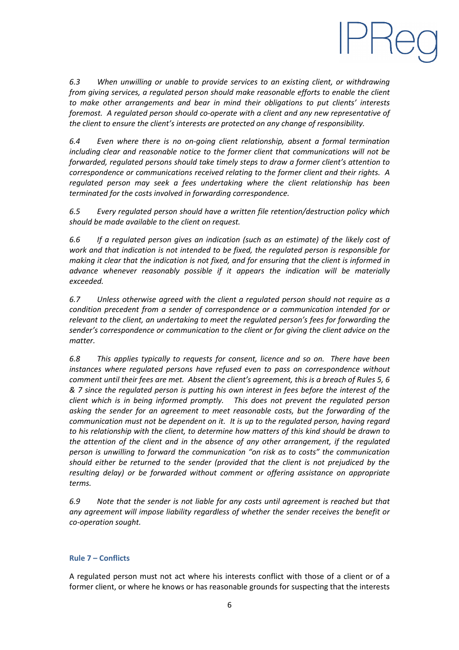

*6.3 When unwilling or unable to provide services to an existing client, or withdrawing from giving services, a regulated person should make reasonable efforts to enable the client to make other arrangements and bear in mind their obligations to put clients' interests foremost. A regulated person should co-operate with a client and any new representative of the client to ensure the client's interests are protected on any change of responsibility.*

*6.4 Even where there is no on-going client relationship, absent a formal termination including clear and reasonable notice to the former client that communications will not be forwarded, regulated persons should take timely steps to draw a former client's attention to correspondence or communications received relating to the former client and their rights. A regulated person may seek a fees undertaking where the client relationship has been terminated for the costs involved in forwarding correspondence.*

*6.5 Every regulated person should have a written file retention/destruction policy which should be made available to the client on request.*

*6.6 If a regulated person gives an indication (such as an estimate) of the likely cost of work and that indication is not intended to be fixed, the regulated person is responsible for making it clear that the indication is not fixed, and for ensuring that the client is informed in advance whenever reasonably possible if it appears the indication will be materially exceeded.*

*6.7 Unless otherwise agreed with the client a regulated person should not require as a condition precedent from a sender of correspondence or a communication intended for or relevant to the client, an undertaking to meet the regulated person's fees for forwarding the sender's correspondence or communication to the client or for giving the client advice on the matter.*

*6.8 This applies typically to requests for consent, licence and so on. There have been instances where regulated persons have refused even to pass on correspondence without comment until their fees are met. Absent the client's agreement, this is a breach of Rules 5, 6 & 7 since the regulated person is putting his own interest in fees before the interest of the client which is in being informed promptly. This does not prevent the regulated person asking the sender for an agreement to meet reasonable costs, but the forwarding of the communication must not be dependent on it. It is up to the regulated person, having regard to his relationship with the client, to determine how matters of this kind should be drawn to the attention of the client and in the absence of any other arrangement, if the regulated person is unwilling to forward the communication "on risk as to costs" the communication should either be returned to the sender (provided that the client is not prejudiced by the resulting delay) or be forwarded without comment or offering assistance on appropriate terms.*

*6.9 Note that the sender is not liable for any costs until agreement is reached but that any agreement will impose liability regardless of whether the sender receives the benefit or co-operation sought.*

## **Rule 7 – Conflicts**

A regulated person must not act where his interests conflict with those of a client or of a former client, or where he knows or has reasonable grounds for suspecting that the interests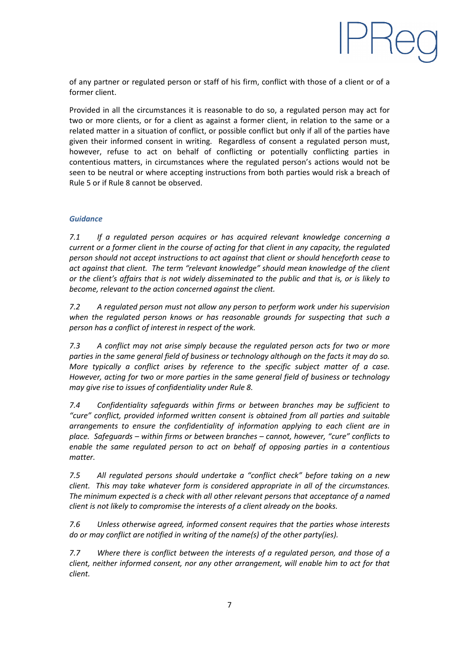

of any partner or regulated person or staff of his firm, conflict with those of a client or of a former client.

Provided in all the circumstances it is reasonable to do so, a regulated person may act for two or more clients, or for a client as against a former client, in relation to the same or a related matter in a situation of conflict, or possible conflict but only if all of the parties have given their informed consent in writing. Regardless of consent a regulated person must, however, refuse to act on behalf of conflicting or potentially conflicting parties in contentious matters, in circumstances where the regulated person's actions would not be seen to be neutral or where accepting instructions from both parties would risk a breach of Rule 5 or if Rule 8 cannot be observed.

# *Guidance*

*7.1 If a regulated person acquires or has acquired relevant knowledge concerning a current or a former client in the course of acting for that client in any capacity, the regulated person should not accept instructions to act against that client or should henceforth cease to act against that client. The term "relevant knowledge" should mean knowledge of the client or the client's affairs that is not widely disseminated to the public and that is, or is likely to become, relevant to the action concerned against the client.*

*7.2 A regulated person must not allow any person to perform work under his supervision when the regulated person knows or has reasonable grounds for suspecting that such a person has a conflict of interest in respect of the work.*

*7.3 A conflict may not arise simply because the regulated person acts for two or more parties in the same general field of business or technology although on the facts it may do so. More typically a conflict arises by reference to the specific subject matter of a case. However, acting for two or more parties in the same general field of business or technology may give rise to issues of confidentiality under Rule 8.*

*7.4 Confidentiality safeguards within firms or between branches may be sufficient to "cure" conflict, provided informed written consent is obtained from all parties and suitable arrangements to ensure the confidentiality of information applying to each client are in place. Safeguards – within firms or between branches – cannot, however, "cure" conflicts to enable the same regulated person to act on behalf of opposing parties in a contentious matter.*

*7.5 All regulated persons should undertake a "conflict check" before taking on a new client. This may take whatever form is considered appropriate in all of the circumstances. The minimum expected is a check with all other relevant persons that acceptance of a named client is not likely to compromise the interests of a client already on the books.*

*7.6 Unless otherwise agreed, informed consent requires that the parties whose interests do or may conflict are notified in writing of the name(s) of the other party(ies).*

*7.7 Where there is conflict between the interests of a regulated person, and those of a client, neither informed consent, nor any other arrangement, will enable him to act for that client.*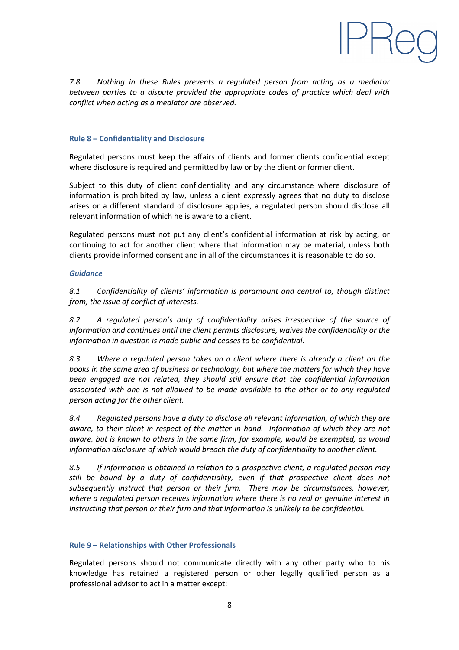

*7.8 Nothing in these Rules prevents a regulated person from acting as a mediator between parties to a dispute provided the appropriate codes of practice which deal with conflict when acting as a mediator are observed.*

## **Rule 8 – Confidentiality and Disclosure**

Regulated persons must keep the affairs of clients and former clients confidential except where disclosure is required and permitted by law or by the client or former client.

Subject to this duty of client confidentiality and any circumstance where disclosure of information is prohibited by law, unless a client expressly agrees that no duty to disclose arises or a different standard of disclosure applies, a regulated person should disclose all relevant information of which he is aware to a client.

Regulated persons must not put any client's confidential information at risk by acting, or continuing to act for another client where that information may be material, unless both clients provide informed consent and in all of the circumstances it is reasonable to do so.

#### *Guidance*

*8.1 Confidentiality of clients' information is paramount and central to, though distinct from, the issue of conflict of interests.*

*8.2 A regulated person's duty of confidentiality arises irrespective of the source of information and continues until the client permits disclosure, waives the confidentiality or the information in question is made public and ceases to be confidential.*

*8.3 Where a regulated person takes on a client where there is already a client on the books in the same area of business or technology, but where the matters for which they have been engaged are not related, they should still ensure that the confidential information associated with one is not allowed to be made available to the other or to any regulated person acting for the other client.*

*8.4 Regulated persons have a duty to disclose all relevant information, of which they are aware, to their client in respect of the matter in hand. Information of which they are not aware, but is known to others in the same firm, for example, would be exempted, as would information disclosure of which would breach the duty of confidentiality to another client.*

*8.5 If information is obtained in relation to a prospective client, a regulated person may still be bound by a duty of confidentiality, even if that prospective client does not subsequently instruct that person or their firm. There may be circumstances, however, where a regulated person receives information where there is no real or genuine interest in instructing that person or their firm and that information is unlikely to be confidential.*

## **Rule 9 – Relationships with Other Professionals**

Regulated persons should not communicate directly with any other party who to his knowledge has retained a registered person or other legally qualified person as a professional advisor to act in a matter except: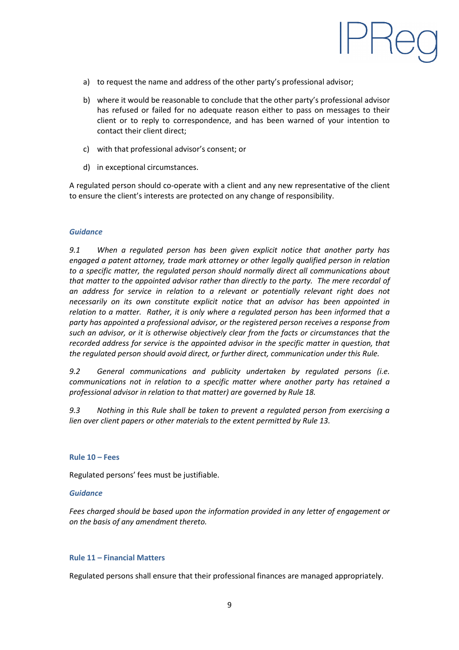

- a) to request the name and address of the other party's professional advisor;
- b) where it would be reasonable to conclude that the other party's professional advisor has refused or failed for no adequate reason either to pass on messages to their client or to reply to correspondence, and has been warned of your intention to contact their client direct;
- c) with that professional advisor's consent; or
- d) in exceptional circumstances.

A regulated person should co-operate with a client and any new representative of the client to ensure the client's interests are protected on any change of responsibility.

## *Guidance*

*9.1 When a regulated person has been given explicit notice that another party has engaged a patent attorney, trade mark attorney or other legally qualified person in relation to a specific matter, the regulated person should normally direct all communications about that matter to the appointed advisor rather than directly to the party. The mere recordal of an address for service in relation to a relevant or potentially relevant right does not necessarily on its own constitute explicit notice that an advisor has been appointed in relation to a matter. Rather, it is only where a regulated person has been informed that a party has appointed a professional advisor, or the registered person receives a response from such an advisor, or it is otherwise objectively clear from the facts or circumstances that the recorded address for service is the appointed advisor in the specific matter in question, that the regulated person should avoid direct, or further direct, communication under this Rule.*

*9.2 General communications and publicity undertaken by regulated persons (i.e. communications not in relation to a specific matter where another party has retained a professional advisor in relation to that matter) are governed by Rule 18.*

*9.3 Nothing in this Rule shall be taken to prevent a regulated person from exercising a lien over client papers or other materials to the extent permitted by Rule 13.*

#### **Rule 10 – Fees**

Regulated persons' fees must be justifiable.

#### *Guidance*

*Fees charged should be based upon the information provided in any letter of engagement or on the basis of any amendment thereto.*

## **Rule 11 – Financial Matters**

Regulated persons shall ensure that their professional finances are managed appropriately.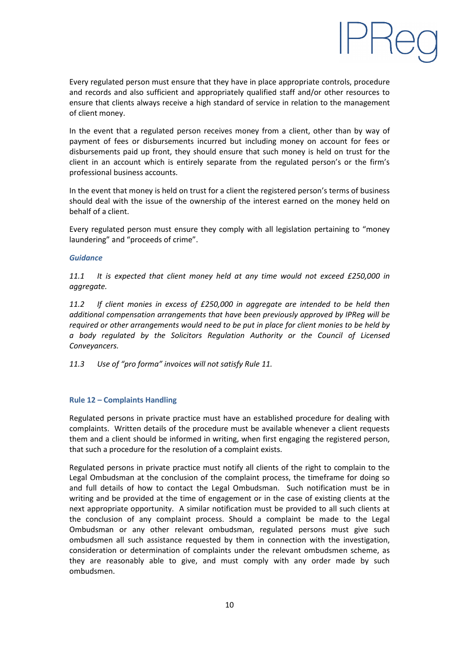

Every regulated person must ensure that they have in place appropriate controls, procedure and records and also sufficient and appropriately qualified staff and/or other resources to ensure that clients always receive a high standard of service in relation to the management of client money.

In the event that a regulated person receives money from a client, other than by way of payment of fees or disbursements incurred but including money on account for fees or disbursements paid up front, they should ensure that such money is held on trust for the client in an account which is entirely separate from the regulated person's or the firm's professional business accounts.

In the event that money is held on trust for a client the registered person's terms of business should deal with the issue of the ownership of the interest earned on the money held on behalf of a client.

Every regulated person must ensure they comply with all legislation pertaining to "money laundering" and "proceeds of crime".

#### *Guidance*

*11.1 It is expected that client money held at any time would not exceed £250,000 in aggregate.*

*11.2 If client monies in excess of £250,000 in aggregate are intended to be held then additional compensation arrangements that have been previously approved by IPReg will be required or other arrangements would need to be put in place for client monies to be held by a body regulated by the Solicitors Regulation Authority or the Council of Licensed Conveyancers.*

*11.3 Use of "pro forma" invoices will not satisfy Rule 11.*

## **Rule 12 – Complaints Handling**

Regulated persons in private practice must have an established procedure for dealing with complaints. Written details of the procedure must be available whenever a client requests them and a client should be informed in writing, when first engaging the registered person, that such a procedure for the resolution of a complaint exists.

Regulated persons in private practice must notify all clients of the right to complain to the Legal Ombudsman at the conclusion of the complaint process, the timeframe for doing so and full details of how to contact the Legal Ombudsman. Such notification must be in writing and be provided at the time of engagement or in the case of existing clients at the next appropriate opportunity. A similar notification must be provided to all such clients at the conclusion of any complaint process. Should a complaint be made to the Legal Ombudsman or any other relevant ombudsman, regulated persons must give such ombudsmen all such assistance requested by them in connection with the investigation, consideration or determination of complaints under the relevant ombudsmen scheme, as they are reasonably able to give, and must comply with any order made by such ombudsmen.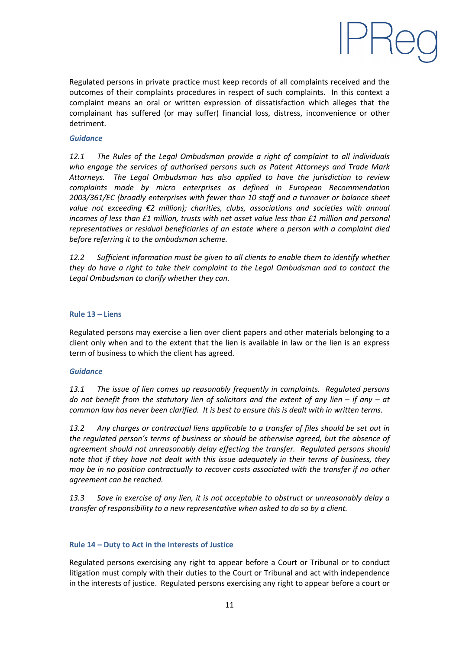

Regulated persons in private practice must keep records of all complaints received and the outcomes of their complaints procedures in respect of such complaints. In this context a complaint means an oral or written expression of dissatisfaction which alleges that the complainant has suffered (or may suffer) financial loss, distress, inconvenience or other detriment.

## *Guidance*

*12.1 The Rules of the Legal Ombudsman provide a right of complaint to all individuals who engage the services of authorised persons such as Patent Attorneys and Trade Mark Attorneys. The Legal Ombudsman has also applied to have the jurisdiction to review complaints made by micro enterprises as defined in European Recommendation 2003/361/EC (broadly enterprises with fewer than 10 staff and a turnover or balance sheet value not exceeding €2 million); charities, clubs, associations and societies with annual incomes of less than £1 million, trusts with net asset value less than £1 million and personal representatives or residual beneficiaries of an estate where a person with a complaint died before referring it to the ombudsman scheme.*

*12.2 Sufficient information must be given to all clients to enable them to identify whether they do have a right to take their complaint to the Legal Ombudsman and to contact the Legal Ombudsman to clarify whether they can.*

#### **Rule 13 – Liens**

Regulated persons may exercise a lien over client papers and other materials belonging to a client only when and to the extent that the lien is available in law or the lien is an express term of business to which the client has agreed.

## *Guidance*

*13.1 The issue of lien comes up reasonably frequently in complaints. Regulated persons do not benefit from the statutory lien of solicitors and the extent of any lien – if any – at common law has never been clarified. It is best to ensure this is dealt with in written terms.*

*13.2 Any charges or contractual liens applicable to a transfer of files should be set out in the regulated person's terms of business or should be otherwise agreed, but the absence of agreement should not unreasonably delay effecting the transfer. Regulated persons should note that if they have not dealt with this issue adequately in their terms of business, they may be in no position contractually to recover costs associated with the transfer if no other agreement can be reached.*

*13.3 Save in exercise of any lien, it is not acceptable to obstruct or unreasonably delay a transfer of responsibility to a new representative when asked to do so by a client.*

## **Rule 14 – Duty to Act in the Interests of Justice**

Regulated persons exercising any right to appear before a Court or Tribunal or to conduct litigation must comply with their duties to the Court or Tribunal and act with independence in the interests of justice. Regulated persons exercising any right to appear before a court or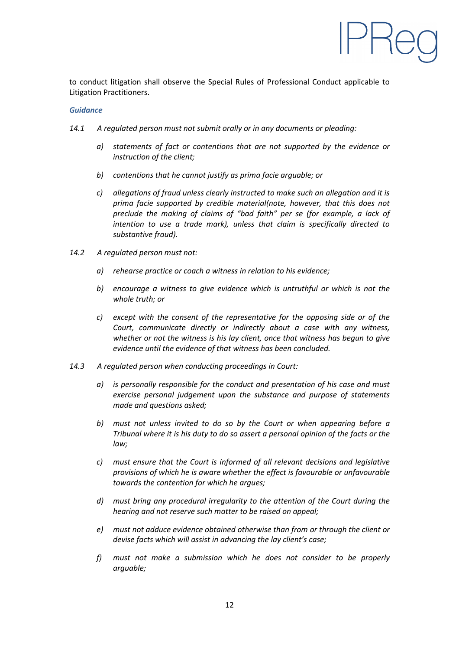

to conduct litigation shall observe the Special Rules of Professional Conduct applicable to Litigation Practitioners.

#### *Guidance*

- *14.1 A regulated person must not submit orally or in any documents or pleading:*
	- *a) statements of fact or contentions that are not supported by the evidence or instruction of the client;*
	- *b) contentions that he cannot justify as prima facie arguable; or*
	- *c) allegations of fraud unless clearly instructed to make such an allegation and it is prima facie supported by credible material(note, however, that this does not preclude the making of claims of "bad faith" per se (for example, a lack of intention to use a trade mark), unless that claim is specifically directed to substantive fraud).*
- *14.2 A regulated person must not:*
	- *a) rehearse practice or coach a witness in relation to his evidence;*
	- *b) encourage a witness to give evidence which is untruthful or which is not the whole truth; or*
	- *c) except with the consent of the representative for the opposing side or of the Court, communicate directly or indirectly about a case with any witness, whether or not the witness is his lay client, once that witness has begun to give evidence until the evidence of that witness has been concluded.*
- *14.3 A regulated person when conducting proceedings in Court:*
	- *a) is personally responsible for the conduct and presentation of his case and must exercise personal judgement upon the substance and purpose of statements made and questions asked;*
	- *b) must not unless invited to do so by the Court or when appearing before a Tribunal where it is his duty to do so assert a personal opinion of the facts or the law;*
	- *c) must ensure that the Court is informed of all relevant decisions and legislative provisions of which he is aware whether the effect is favourable or unfavourable towards the contention for which he argues;*
	- *d) must bring any procedural irregularity to the attention of the Court during the hearing and not reserve such matter to be raised on appeal;*
	- *e) must not adduce evidence obtained otherwise than from or through the client or devise facts which will assist in advancing the lay client's case;*
	- *f) must not make a submission which he does not consider to be properly arguable;*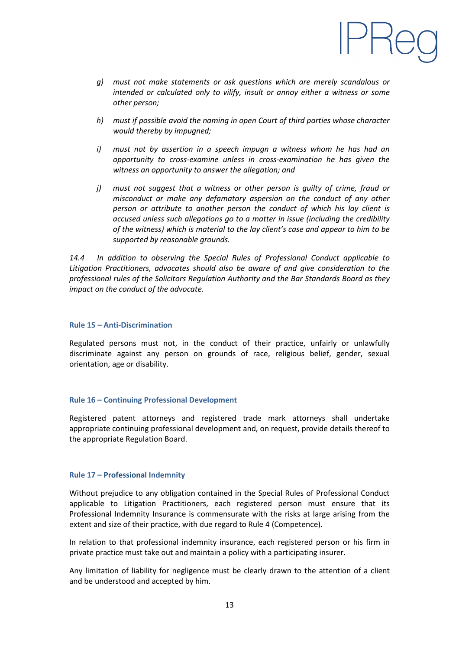

- *g) must not make statements or ask questions which are merely scandalous or intended or calculated only to vilify, insult or annoy either a witness or some other person;*
- *h) must if possible avoid the naming in open Court of third parties whose character would thereby by impugned;*
- *i) must not by assertion in a speech impugn a witness whom he has had an opportunity to cross-examine unless in cross-examination he has given the witness an opportunity to answer the allegation; and*
- *j) must not suggest that a witness or other person is guilty of crime, fraud or misconduct or make any defamatory aspersion on the conduct of any other person or attribute to another person the conduct of which his lay client is accused unless such allegations go to a matter in issue (including the credibility of the witness) which is material to the lay client's case and appear to him to be supported by reasonable grounds.*

*14.4 In addition to observing the Special Rules of Professional Conduct applicable to Litigation Practitioners, advocates should also be aware of and give consideration to the professional rules of the Solicitors Regulation Authority and the Bar Standards Board as they impact on the conduct of the advocate.*

#### **Rule 15 – Anti-Discrimination**

Regulated persons must not, in the conduct of their practice, unfairly or unlawfully discriminate against any person on grounds of race, religious belief, gender, sexual orientation, age or disability.

#### **Rule 16 – Continuing Professional Development**

Registered patent attorneys and registered trade mark attorneys shall undertake appropriate continuing professional development and, on request, provide details thereof to the appropriate Regulation Board.

#### **Rule 17 – Professional Indemnity**

Without prejudice to any obligation contained in the Special Rules of Professional Conduct applicable to Litigation Practitioners, each registered person must ensure that its Professional Indemnity Insurance is commensurate with the risks at large arising from the extent and size of their practice, with due regard to Rule 4 (Competence).

In relation to that professional indemnity insurance, each registered person or his firm in private practice must take out and maintain a policy with a participating insurer.

Any limitation of liability for negligence must be clearly drawn to the attention of a client and be understood and accepted by him.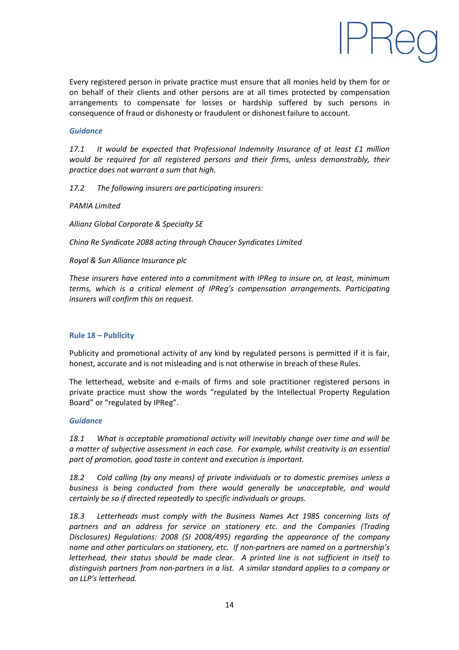

Every registered person in private practice must ensure that all monies held by them for or on behalf of their clients and other persons are at all times protected by compensation arrangements to compensate for losses or hardship suffered by such persons in consequence of fraud or dishonesty or fraudulent or dishonest failure to account.

## *Guidance*

*17.1 It would be expected that Professional Indemnity Insurance of at least £1 million would be required for all registered persons and their firms, unless demonstrably, their practice does not warrant a sum that high.*

*17.2 The following insurers are participating insurers:*

*PAMIA Limited*

*Allianz Global Corporate & Specialty SE*

*China Re Syndicate 2088 acting through Chaucer Syndicates Limited*

## *Royal & Sun Alliance Insurance plc*

*These insurers have entered into a commitment with IPReg to insure on, at least, minimum terms, which is a critical element of IPReg's compensation arrangements. Participating insurers will confirm this on request.*

#### **Rule 18 – Publicity**

Publicity and promotional activity of any kind by regulated persons is permitted if it is fair, honest, accurate and is not misleading and is not otherwise in breach of these Rules.

The letterhead, website and e-mails of firms and sole practitioner registered persons in private practice must show the words "regulated by the Intellectual Property Regulation Board" or "regulated by IPReg".

## *Guidance*

*18.1 What is acceptable promotional activity will inevitably change over time and will be a matter of subjective assessment in each case. For example, whilst creativity is an essential part of promotion, good taste in content and execution is important.*

*18.2 Cold calling (by any means) of private individuals or to domestic premises unless a business is being conducted from there would generally be unacceptable, and would certainly be so if directed repeatedly to specific individuals or groups.*

*18.3 Letterheads must comply with the Business Names Act 1985 concerning lists of partners and an address for service on stationery etc. and the Companies (Trading Disclosures) Regulations: 2008 (SI 2008/495) regarding the appearance of the company name and other particulars on stationery, etc. If non-partners are named on a partnership's letterhead, their status should be made clear. A printed line is not sufficient in itself to distinguish partners from non-partners in a list. A similar standard applies to a company or an LLP's letterhead.*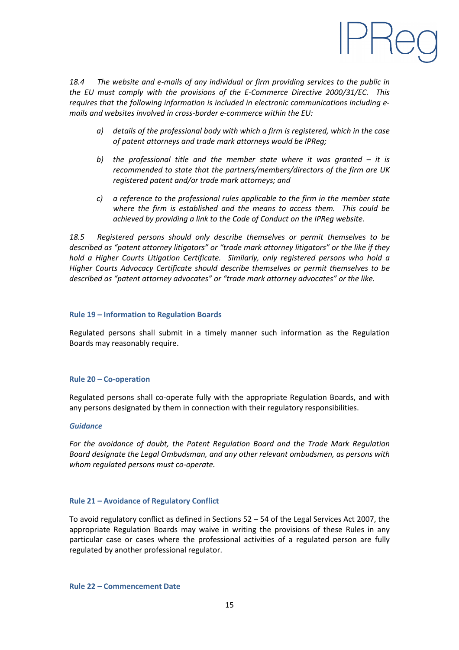

*18.4 The website and e-mails of any individual or firm providing services to the public in the EU must comply with the provisions of the E-Commerce Directive 2000/31/EC. This requires that the following information is included in electronic communications including emails and websites involved in cross-border e-commerce within the EU:*

- *a) details of the professional body with which a firm is registered, which in the case of patent attorneys and trade mark attorneys would be IPReg;*
- *b) the professional title and the member state where it was granted – it is recommended to state that the partners/members/directors of the firm are UK registered patent and/or trade mark attorneys; and*
- *c) a reference to the professional rules applicable to the firm in the member state where the firm is established and the means to access them. This could be achieved by providing a link to the Code of Conduct on the IPReg website.*

*18.5 Registered persons should only describe themselves or permit themselves to be described as "patent attorney litigators" or "trade mark attorney litigators" or the like if they hold a Higher Courts Litigation Certificate. Similarly, only registered persons who hold a Higher Courts Advocacy Certificate should describe themselves or permit themselves to be described as "patent attorney advocates" or "trade mark attorney advocates" or the like.*

#### **Rule 19 – Information to Regulation Boards**

Regulated persons shall submit in a timely manner such information as the Regulation Boards may reasonably require.

#### **Rule 20 – Co-operation**

Regulated persons shall co-operate fully with the appropriate Regulation Boards, and with any persons designated by them in connection with their regulatory responsibilities.

#### *Guidance*

*For the avoidance of doubt, the Patent Regulation Board and the Trade Mark Regulation Board designate the Legal Ombudsman, and any other relevant ombudsmen, as persons with whom regulated persons must co-operate.*

#### **Rule 21 – Avoidance of Regulatory Conflict**

To avoid regulatory conflict as defined in Sections 52 – 54 of the Legal Services Act 2007, the appropriate Regulation Boards may waive in writing the provisions of these Rules in any particular case or cases where the professional activities of a regulated person are fully regulated by another professional regulator.

**Rule 22 – Commencement Date**